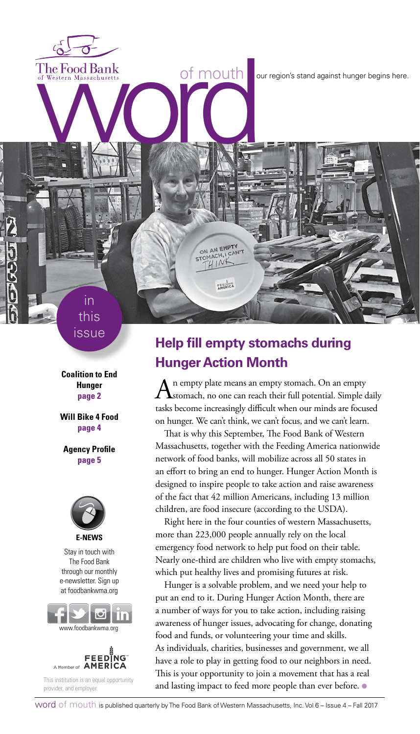The Food Bank<br>of Western Massachusetts<br>word word against hunger begins here.

issue

in this

**Coalition to End Hunger page 2**

**Will Bike 4 Food page 4**

**Agency Profile page 5**



Stay in touch with The Food Bank through our monthly e-newsletter. Sign up at foodbankwma.org





This institution is an equal opportunity provider, and employer.

### **Help fill empty stomachs during Hunger Action Month**

ON AN EMPTY STOMACH,  $41N$ 

FEEDING

An empty plate means an empty stomach. On an empty<br>
stomach, no one can reach their full potential. Simple daily tasks become increasingly difficult when our minds are focused on hunger. We can't think, we can't focus, and we can't learn.

That is why this September, The Food Bank of Western Massachusetts, together with the Feeding America nationwide network of food banks, will mobilize across all 50 states in an effort to bring an end to hunger. Hunger Action Month is designed to inspire people to take action and raise awareness of the fact that 42 million Americans, including 13 million children, are food insecure (according to the USDA).

Right here in the four counties of western Massachusetts, more than 223,000 people annually rely on the local emergency food network to help put food on their table. Nearly one-third are children who live with empty stomachs, which put healthy lives and promising futures at risk.

Hunger is a solvable problem, and we need your help to put an end to it. During Hunger Action Month, there are a number of ways for you to take action, including raising awareness of hunger issues, advocating for change, donating food and funds, or volunteering your time and skills. As individuals, charities, businesses and government, we all have a role to play in getting food to our neighbors in need. This is your opportunity to join a movement that has a real and lasting impact to feed more people than ever before. ●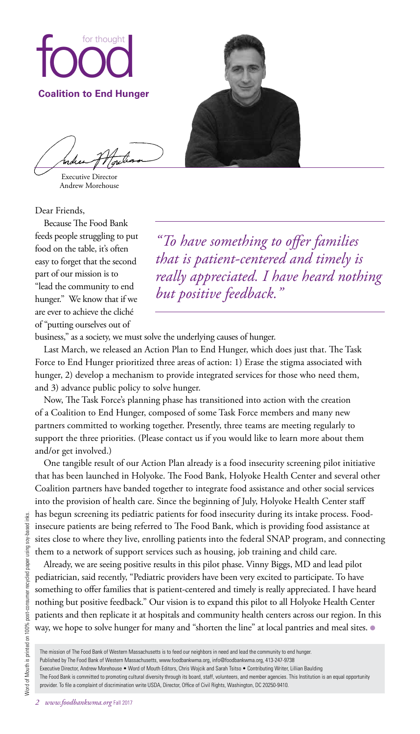

Executive Director Andrew Morehouse

Dear Friends,

Because The Food Bank feeds people struggling to put food on the table, it's often easy to forget that the second part of our mission is to "lead the community to end hunger." We know that if we are ever to achieve the cliché of "putting ourselves out of

*"To have something to offer families that is patient-centered and timely is really appreciated. I have heard nothing but positive feedback."*

business," as a society, we must solve the underlying causes of hunger.

Last March, we released an Action Plan to End Hunger, which does just that. The Task Force to End Hunger prioritized three areas of action: 1) Erase the stigma associated with hunger, 2) develop a mechanism to provide integrated services for those who need them, and 3) advance public policy to solve hunger.

Now, The Task Force's planning phase has transitioned into action with the creation of a Coalition to End Hunger, composed of some Task Force members and many new partners committed to working together. Presently, three teams are meeting regularly to support the three priorities. (Please contact us if you would like to learn more about them and/or get involved.)

One tangible result of our Action Plan already is a food insecurity screening pilot initiative that has been launched in Holyoke. The Food Bank, Holyoke Health Center and several other Coalition partners have banded together to integrate food assistance and other social services into the provision of health care. Since the beginning of July, Holyoke Health Center staff has begun screening its pediatric patients for food insecurity during its intake process. Foodinsecure patients are being referred to The Food Bank, which is providing food assistance at sites close to where they live, enrolling patients into the federal SNAP program, and connecting them to a network of support services such as housing, job training and child care.

Already, we are seeing positive results in this pilot phase. Vinny Biggs, MD and lead pilot pediatrician, said recently, "Pediatric providers have been very excited to participate. To have something to offer families that is patient-centered and timely is really appreciated. I have heard nothing but positive feedback." Our vision is to expand this pilot to all Holyoke Health Center patients and then replicate it at hospitals and community health centers across our region. In this way, we hope to solve hunger for many and "shorten the line" at local pantries and meal sites.  $\bullet$ 

Published by The Food Bank of Western Massachusetts, www.foodbankwma.org, info@foodbankwma.org, 413-247-9738

The mission of The Food Bank of Western Massachusetts is to feed our neighbors in need and lead the community to end hunger.

Executive Director, Andrew Morehouse • Word of Mouth Editors, Chris Wojcik and Sarah Tsitso • Contributing Writer, Lillian Baulding

The Food Bank is committed to promoting cultural diversity through its board, staff, volunteers, and member agencies. This Institution is an equal opportunity provider. To file a complaint of discrimination write USDA, Director, Office of Civil Rights, Washington, DC 20250-9410.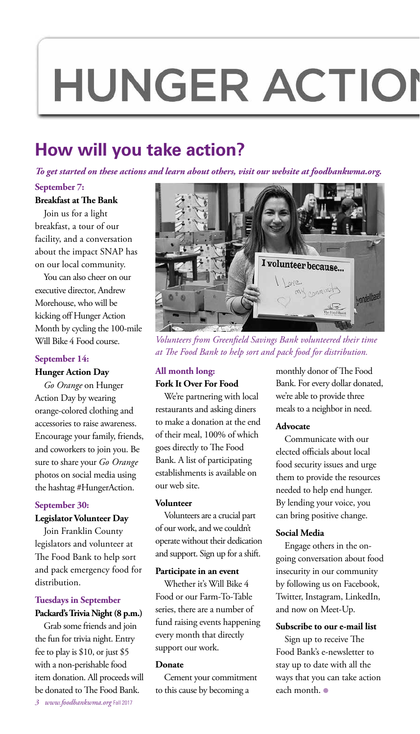## **HUNGER ACTION**

## **How will you take action?**

*To get started on these actions and learn about others, visit our website at foodbankwma.org.*

#### **September 7:**

#### **Breakfast at The Bank**

Join us for a light breakfast, a tour of our facility, and a conversation about the impact SNAP has on our local community.

You can also cheer on our executive director, Andrew Morehouse, who will be kicking off Hunger Action Month by cycling the 100-mile Will Bike 4 Food course.

#### **September 14:**

#### **Hunger Action Day**

*Go Orange* on Hunger Action Day by wearing orange-colored clothing and accessories to raise awareness. Encourage your family, friends, and coworkers to join you. Be sure to share your *Go Orange* photos on social media using the hashtag #HungerAction.

#### **September 30:**

#### **Legislator Volunteer Day**

Join Franklin County legislators and volunteer at The Food Bank to help sort and pack emergency food for distribution.

#### **Tuesdays in September Packard's Trivia Night (8 p.m.)**

Grab some friends and join the fun for trivia night. Entry fee to play is \$10, or just \$5 with a non-perishable food item donation. All proceeds will be donated to The Food Bank. *3 www.foodbankwma.org* Fall 2017



*Volunteers from Greenfield Savings Bank volunteered their time at The Food Bank to help sort and pack food for distribution.* 

#### **All month long: Fork It Over For Food**

We're partnering with local restaurants and asking diners to make a donation at the end of their meal, 100% of which goes directly to The Food Bank. A list of participating establishments is available on our web site.

#### **Volunteer**

Volunteers are a crucial part of our work, and we couldn't operate without their dedication and support. Sign up for a shift.

#### **Participate in an event**

Whether it's Will Bike 4 Food or our Farm-To-Table series, there are a number of fund raising events happening every month that directly support our work.

#### **Donate**

Cement your commitment to this cause by becoming a

monthly donor of The Food Bank. For every dollar donated, we're able to provide three meals to a neighbor in need.

#### **Advocate**

Communicate with our elected officials about local food security issues and urge them to provide the resources needed to help end hunger. By lending your voice, you can bring positive change.

#### **Social Media**

Engage others in the ongoing conversation about food insecurity in our community by following us on Facebook, Twitter, Instagram, LinkedIn, and now on Meet-Up.

#### **Subscribe to our e-mail list**

Sign up to receive The Food Bank's e-newsletter to stay up to date with all the ways that you can take action each month. ●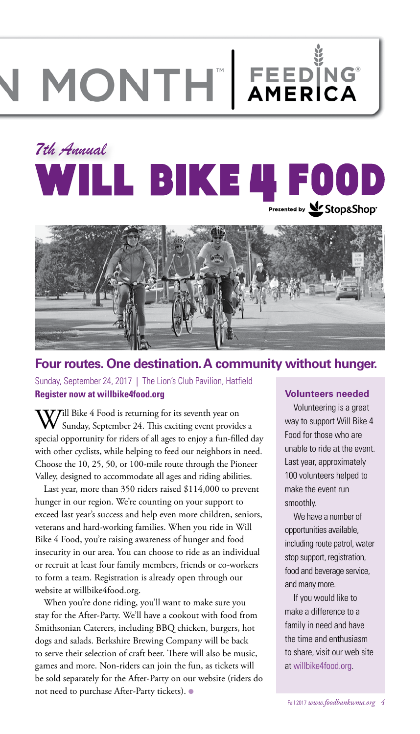# MONTH FEEDING

## *7th Annual* **WILL BIKE 4 FO** Presented by <u>We</u> Stop&Shop<sup>®</sup>



#### **Four routes. One destination. A community without hunger.**

Sunday, September 24, 2017 | The Lion's Club Pavilion, Hatfield **Register now at willbike4food.org**

**7**ill Bike 4 Food is returning for its seventh year on Sunday, September 24. This exciting event provides a special opportunity for riders of all ages to enjoy a fun-filled day with other cyclists, while helping to feed our neighbors in need. Choose the 10, 25, 50, or 100-mile route through the Pioneer Valley, designed to accommodate all ages and riding abilities.

Last year, more than 350 riders raised \$114,000 to prevent hunger in our region. We're counting on your support to exceed last year's success and help even more children, seniors, veterans and hard-working families. When you ride in Will Bike 4 Food, you're raising awareness of hunger and food insecurity in our area. You can choose to ride as an individual or recruit at least four family members, friends or co-workers to form a team. Registration is already open through our website at willbike4food.org.

When you're done riding, you'll want to make sure you stay for the After-Party. We'll have a cookout with food from Smithsonian Caterers, including BBQ chicken, burgers, hot dogs and salads. Berkshire Brewing Company will be back to serve their selection of craft beer. There will also be music, games and more. Non-riders can join the fun, as tickets will be sold separately for the After-Party on our website (riders do not need to purchase After-Party tickets). ●

#### **Volunteers needed**

Volunteering is a great way to support Will Bike 4 Food for those who are unable to ride at the event. Last year, approximately 100 volunteers helped to make the event run smoothly.

We have a number of opportunities available, including route patrol, water stop support, registration, food and beverage service, and many more.

If you would like to make a difference to a family in need and have the time and enthusiasm to share, visit our web site at willbike4food.org.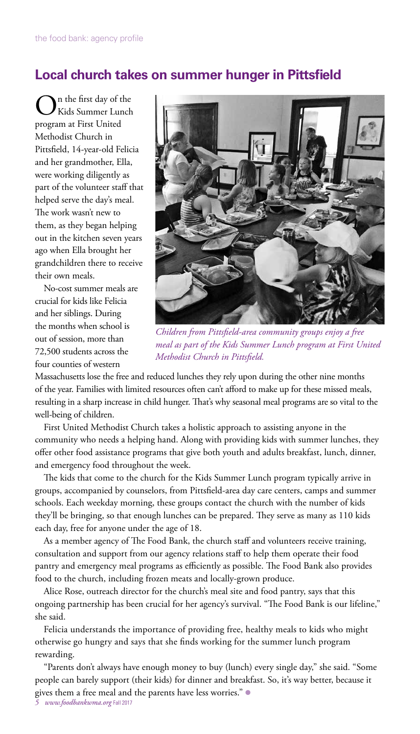#### **Local church takes on summer hunger in Pittsfield**

On the first day of the Kids Summer Lunch program at First United Methodist Church in Pittsfield, 14-year-old Felicia and her grandmother, Ella, were working diligently as part of the volunteer staff that helped serve the day's meal. The work wasn't new to them, as they began helping out in the kitchen seven years ago when Ella brought her grandchildren there to receive their own meals.

No-cost summer meals are crucial for kids like Felicia and her siblings. During the months when school is out of session, more than 72,500 students across the four counties of western



*Children from Pittsfield-area community groups enjoy a free meal as part of the Kids Summer Lunch program at First United Methodist Church in Pittsfield.* 

Massachusetts lose the free and reduced lunches they rely upon during the other nine months of the year. Families with limited resources often can't afford to make up for these missed meals, resulting in a sharp increase in child hunger. That's why seasonal meal programs are so vital to the well-being of children.

First United Methodist Church takes a holistic approach to assisting anyone in the community who needs a helping hand. Along with providing kids with summer lunches, they offer other food assistance programs that give both youth and adults breakfast, lunch, dinner, and emergency food throughout the week.

The kids that come to the church for the Kids Summer Lunch program typically arrive in groups, accompanied by counselors, from Pittsfield-area day care centers, camps and summer schools. Each weekday morning, these groups contact the church with the number of kids they'll be bringing, so that enough lunches can be prepared. They serve as many as 110 kids each day, free for anyone under the age of 18.

As a member agency of The Food Bank, the church staff and volunteers receive training, consultation and support from our agency relations staff to help them operate their food pantry and emergency meal programs as efficiently as possible. The Food Bank also provides food to the church, including frozen meats and locally-grown produce.

Alice Rose, outreach director for the church's meal site and food pantry, says that this ongoing partnership has been crucial for her agency's survival. "The Food Bank is our lifeline," she said.

Felicia understands the importance of providing free, healthy meals to kids who might otherwise go hungry and says that she finds working for the summer lunch program rewarding.

"Parents don't always have enough money to buy (lunch) every single day," she said. "Some people can barely support (their kids) for dinner and breakfast. So, it's way better, because it gives them a free meal and the parents have less worries." ●

*5 www.foodbankwma.org* Fall 2017